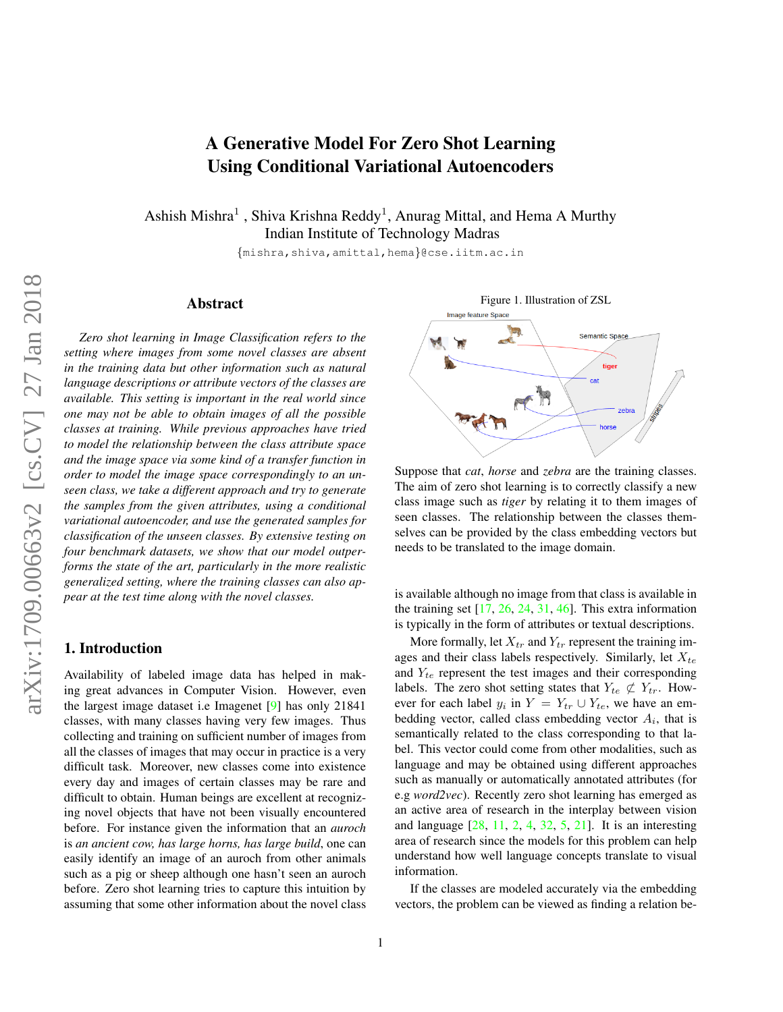# A Generative Model For Zero Shot Learning Using Conditional Variational Autoencoders

<span id="page-0-0"></span>Ashish Mishra<sup>1</sup>, Shiva Krishna Reddy<sup>1</sup>, Anurag Mittal, and Hema A Murthy Indian Institute of Technology Madras

{mishra,shiva,amittal,hema}@cse.iitm.ac.in

#### Abstract

*Zero shot learning in Image Classification refers to the setting where images from some novel classes are absent in the training data but other information such as natural language descriptions or attribute vectors of the classes are available. This setting is important in the real world since one may not be able to obtain images of all the possible classes at training. While previous approaches have tried to model the relationship between the class attribute space and the image space via some kind of a transfer function in order to model the image space correspondingly to an unseen class, we take a different approach and try to generate the samples from the given attributes, using a conditional variational autoencoder, and use the generated samples for classification of the unseen classes. By extensive testing on four benchmark datasets, we show that our model outperforms the state of the art, particularly in the more realistic generalized setting, where the training classes can also appear at the test time along with the novel classes.*

# 1. Introduction

Availability of labeled image data has helped in making great advances in Computer Vision. However, even the largest image dataset i.e Imagenet [\[9\]](#page-7-0) has only 21841 classes, with many classes having very few images. Thus collecting and training on sufficient number of images from all the classes of images that may occur in practice is a very difficult task. Moreover, new classes come into existence every day and images of certain classes may be rare and difficult to obtain. Human beings are excellent at recognizing novel objects that have not been visually encountered before. For instance given the information that an *auroch* is *an ancient cow, has large horns, has large build*, one can easily identify an image of an auroch from other animals such as a pig or sheep although one hasn't seen an auroch before. Zero shot learning tries to capture this intuition by assuming that some other information about the novel class



Suppose that *cat*, *horse* and *zebra* are the training classes. The aim of zero shot learning is to correctly classify a new class image such as *tiger* by relating it to them images of seen classes. The relationship between the classes themselves can be provided by the class embedding vectors but needs to be translated to the image domain.

is available although no image from that class is available in the training set  $[17, 26, 24, 31, 46]$  $[17, 26, 24, 31, 46]$  $[17, 26, 24, 31, 46]$  $[17, 26, 24, 31, 46]$  $[17, 26, 24, 31, 46]$  $[17, 26, 24, 31, 46]$  $[17, 26, 24, 31, 46]$  $[17, 26, 24, 31, 46]$  $[17, 26, 24, 31, 46]$ . This extra information is typically in the form of attributes or textual descriptions.

More formally, let  $X_{tr}$  and  $Y_{tr}$  represent the training images and their class labels respectively. Similarly, let  $X_{te}$ and  $Y_{te}$  represent the test images and their corresponding labels. The zero shot setting states that  $Y_{te} \not\subset Y_{tr}$ . However for each label  $y_i$  in  $Y = Y_{tr} \cup Y_{te}$ , we have an embedding vector, called class embedding vector  $A_i$ , that is semantically related to the class corresponding to that label. This vector could come from other modalities, such as language and may be obtained using different approaches such as manually or automatically annotated attributes (for e.g *word2vec*). Recently zero shot learning has emerged as an active area of research in the interplay between vision and language [\[28,](#page-7-5) [11,](#page-7-6) [2,](#page-7-7) [4,](#page-7-8) [32,](#page-7-9) [5,](#page-7-10) [21\]](#page-7-11). It is an interesting area of research since the models for this problem can help understand how well language concepts translate to visual information.

If the classes are modeled accurately via the embedding vectors, the problem can be viewed as finding a relation be-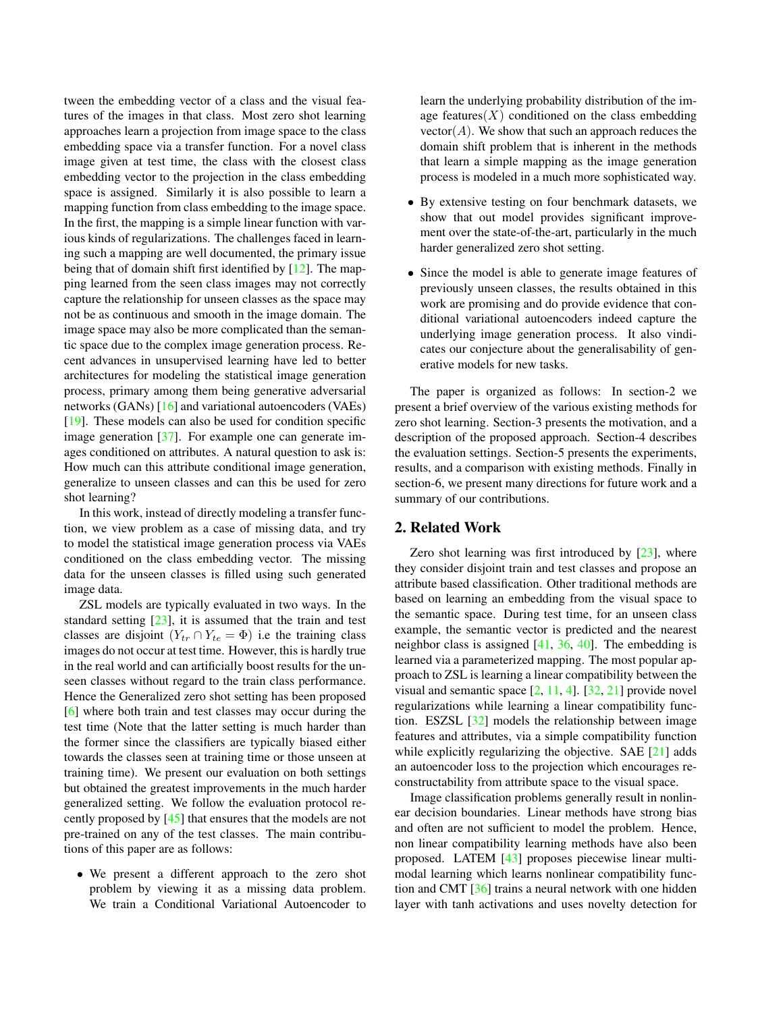<span id="page-1-0"></span>tween the embedding vector of a class and the visual features of the images in that class. Most zero shot learning approaches learn a projection from image space to the class embedding space via a transfer function. For a novel class image given at test time, the class with the closest class embedding vector to the projection in the class embedding space is assigned. Similarly it is also possible to learn a mapping function from class embedding to the image space. In the first, the mapping is a simple linear function with various kinds of regularizations. The challenges faced in learning such a mapping are well documented, the primary issue being that of domain shift first identified by [\[12\]](#page-7-12). The mapping learned from the seen class images may not correctly capture the relationship for unseen classes as the space may not be as continuous and smooth in the image domain. The image space may also be more complicated than the semantic space due to the complex image generation process. Recent advances in unsupervised learning have led to better architectures for modeling the statistical image generation process, primary among them being generative adversarial networks (GANs) [\[16\]](#page-7-13) and variational autoencoders (VAEs) [\[19\]](#page-7-14). These models can also be used for condition specific image generation [\[37\]](#page-8-1). For example one can generate images conditioned on attributes. A natural question to ask is: How much can this attribute conditional image generation, generalize to unseen classes and can this be used for zero shot learning?

In this work, instead of directly modeling a transfer function, we view problem as a case of missing data, and try to model the statistical image generation process via VAEs conditioned on the class embedding vector. The missing data for the unseen classes is filled using such generated image data.

ZSL models are typically evaluated in two ways. In the standard setting [\[23\]](#page-7-15), it is assumed that the train and test classes are disjoint  $(Y_{tr} \cap Y_{te} = \Phi)$  i.e the training class images do not occur at test time. However, this is hardly true in the real world and can artificially boost results for the unseen classes without regard to the train class performance. Hence the Generalized zero shot setting has been proposed [\[6\]](#page-7-16) where both train and test classes may occur during the test time (Note that the latter setting is much harder than the former since the classifiers are typically biased either towards the classes seen at training time or those unseen at training time). We present our evaluation on both settings but obtained the greatest improvements in the much harder generalized setting. We follow the evaluation protocol recently proposed by [\[45\]](#page-8-2) that ensures that the models are not pre-trained on any of the test classes. The main contributions of this paper are as follows:

• We present a different approach to the zero shot problem by viewing it as a missing data problem. We train a Conditional Variational Autoencoder to learn the underlying probability distribution of the image features $(X)$  conditioned on the class embedding  $vector(A)$ . We show that such an approach reduces the domain shift problem that is inherent in the methods that learn a simple mapping as the image generation process is modeled in a much more sophisticated way.

- By extensive testing on four benchmark datasets, we show that out model provides significant improvement over the state-of-the-art, particularly in the much harder generalized zero shot setting.
- Since the model is able to generate image features of previously unseen classes, the results obtained in this work are promising and do provide evidence that conditional variational autoencoders indeed capture the underlying image generation process. It also vindicates our conjecture about the generalisability of generative models for new tasks.

The paper is organized as follows: In section-2 we present a brief overview of the various existing methods for zero shot learning. Section-3 presents the motivation, and a description of the proposed approach. Section-4 describes the evaluation settings. Section-5 presents the experiments, results, and a comparison with existing methods. Finally in section-6, we present many directions for future work and a summary of our contributions.

## 2. Related Work

Zero shot learning was first introduced by [\[23\]](#page-7-15), where they consider disjoint train and test classes and propose an attribute based classification. Other traditional methods are based on learning an embedding from the visual space to the semantic space. During test time, for an unseen class example, the semantic vector is predicted and the nearest neighbor class is assigned  $[41, 36, 40]$  $[41, 36, 40]$  $[41, 36, 40]$  $[41, 36, 40]$  $[41, 36, 40]$ . The embedding is learned via a parameterized mapping. The most popular approach to ZSL is learning a linear compatibility between the visual and semantic space [\[2,](#page-7-7) [11,](#page-7-6) [4\]](#page-7-8). [\[32,](#page-7-9) [21\]](#page-7-11) provide novel regularizations while learning a linear compatibility function. ESZSL [\[32\]](#page-7-9) models the relationship between image features and attributes, via a simple compatibility function while explicitly regularizing the objective. SAE [\[21\]](#page-7-11) adds an autoencoder loss to the projection which encourages reconstructability from attribute space to the visual space.

Image classification problems generally result in nonlinear decision boundaries. Linear methods have strong bias and often are not sufficient to model the problem. Hence, non linear compatibility learning methods have also been proposed. LATEM [\[43\]](#page-8-6) proposes piecewise linear multimodal learning which learns nonlinear compatibility function and CMT [\[36\]](#page-8-4) trains a neural network with one hidden layer with tanh activations and uses novelty detection for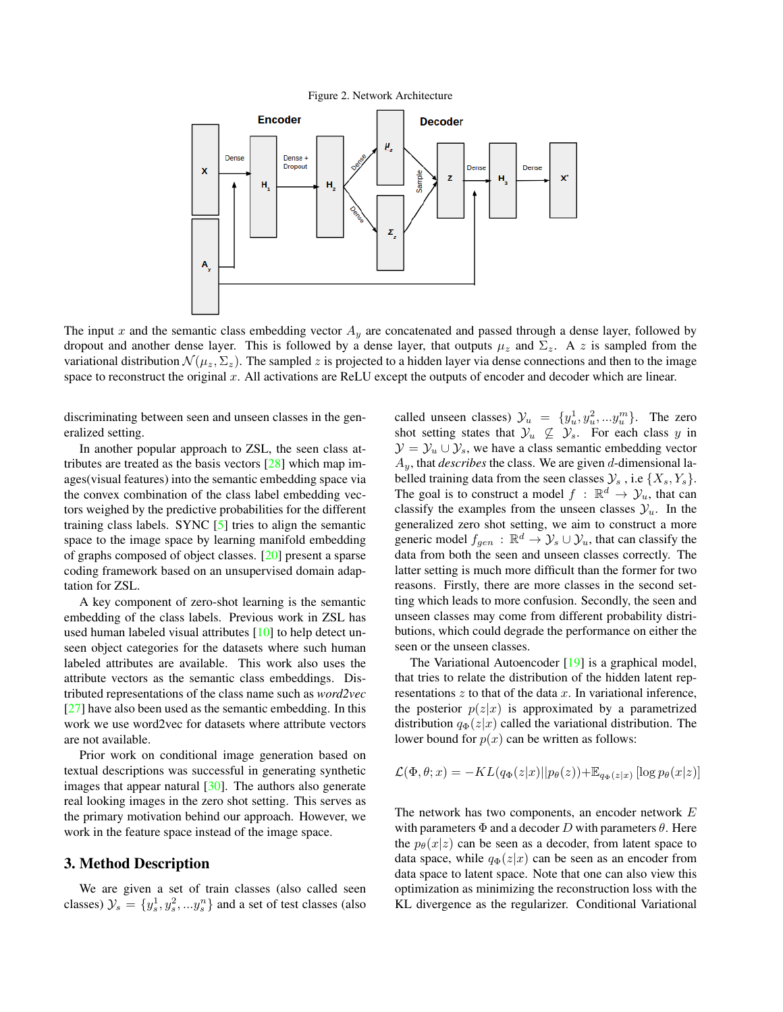<span id="page-2-0"></span>Figure 2. Network Architecture

<span id="page-2-1"></span>

The input x and the semantic class embedding vector  $A<sub>y</sub>$  are concatenated and passed through a dense layer, followed by dropout and another dense layer. This is followed by a dense layer, that outputs  $\mu_z$  and  $\Sigma_z$ . A z is sampled from the variational distribution  $\mathcal{N}(\mu_z, \Sigma_z)$ . The sampled z is projected to a hidden layer via dense connections and then to the image space to reconstruct the original x. All activations are ReLU except the outputs of encoder and decoder which are linear.

discriminating between seen and unseen classes in the generalized setting.

In another popular approach to ZSL, the seen class attributes are treated as the basis vectors [\[28\]](#page-7-5) which map images(visual features) into the semantic embedding space via the convex combination of the class label embedding vectors weighed by the predictive probabilities for the different training class labels. SYNC [\[5\]](#page-7-10) tries to align the semantic space to the image space by learning manifold embedding of graphs composed of object classes. [\[20\]](#page-7-17) present a sparse coding framework based on an unsupervised domain adaptation for ZSL.

A key component of zero-shot learning is the semantic embedding of the class labels. Previous work in ZSL has used human labeled visual attributes [\[10\]](#page-7-18) to help detect unseen object categories for the datasets where such human labeled attributes are available. This work also uses the attribute vectors as the semantic class embeddings. Distributed representations of the class name such as *word2vec* [\[27\]](#page-7-19) have also been used as the semantic embedding. In this work we use word2vec for datasets where attribute vectors are not available.

Prior work on conditional image generation based on textual descriptions was successful in generating synthetic images that appear natural  $[30]$ . The authors also generate real looking images in the zero shot setting. This serves as the primary motivation behind our approach. However, we work in the feature space instead of the image space.

## 3. Method Description

We are given a set of train classes (also called seen classes)  $\mathcal{Y}_s = \{y_s^1, y_s^2, ... y_s^n\}$  and a set of test classes (also

called unseen classes)  $\mathcal{Y}_u = \{y_u^1, y_u^2, \ldots, y_u^m\}$ . The zero shot setting states that  $\mathcal{Y}_u \not\subseteq \mathcal{Y}_s$ . For each class y in  $\mathcal{Y} = \mathcal{Y}_u \cup \mathcal{Y}_s$ , we have a class semantic embedding vector Ay, that *describes* the class. We are given d-dimensional labelled training data from the seen classes  $\mathcal{Y}_s$ , i.e  $\{X_s, Y_s\}$ . The goal is to construct a model  $f : \mathbb{R}^d \to \mathcal{Y}_u$ , that can classify the examples from the unseen classes  $\mathcal{Y}_u$ . In the generalized zero shot setting, we aim to construct a more generic model  $f_{gen}$ :  $\mathbb{R}^d \to \mathcal{Y}_s \cup \mathcal{Y}_u$ , that can classify the data from both the seen and unseen classes correctly. The latter setting is much more difficult than the former for two reasons. Firstly, there are more classes in the second setting which leads to more confusion. Secondly, the seen and unseen classes may come from different probability distributions, which could degrade the performance on either the seen or the unseen classes.

The Variational Autoencoder [\[19\]](#page-7-14) is a graphical model, that tries to relate the distribution of the hidden latent representations  $z$  to that of the data  $x$ . In variational inference, the posterior  $p(z|x)$  is approximated by a parametrized distribution  $q_{\Phi}(z|x)$  called the variational distribution. The lower bound for  $p(x)$  can be written as follows:

$$
\mathcal{L}(\Phi, \theta; x) = -KL(q_{\Phi}(z|x)||p_{\theta}(z)) + \mathbb{E}_{q_{\Phi}(z|x)} [\log p_{\theta}(x|z)]
$$

The network has two components, an encoder network E with parameters  $\Phi$  and a decoder D with parameters  $\theta$ . Here the  $p_{\theta}(x|z)$  can be seen as a decoder, from latent space to data space, while  $q_{\Phi}(z|x)$  can be seen as an encoder from data space to latent space. Note that one can also view this optimization as minimizing the reconstruction loss with the KL divergence as the regularizer. Conditional Variational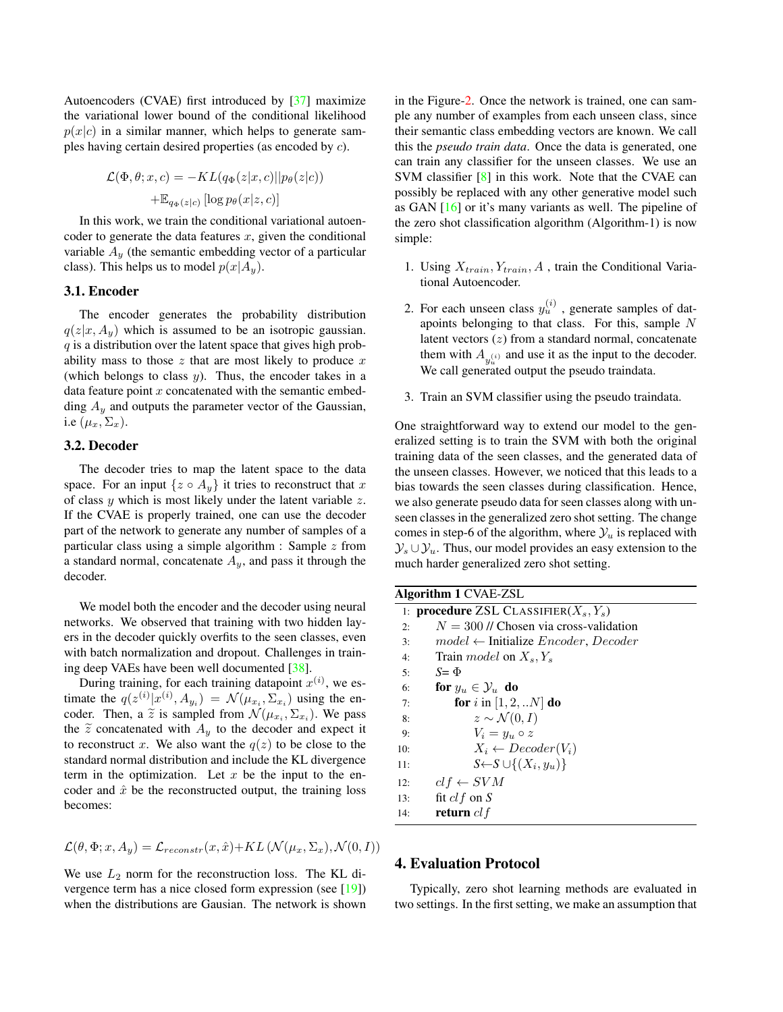<span id="page-3-0"></span>Autoencoders (CVAE) first introduced by [\[37\]](#page-8-1) maximize the variational lower bound of the conditional likelihood  $p(x|c)$  in a similar manner, which helps to generate samples having certain desired properties (as encoded by c).

$$
\mathcal{L}(\Phi, \theta; x, c) = -KL(q_{\Phi}(z|x, c)||p_{\theta}(z|c))
$$

$$
+ \mathbb{E}_{q_{\Phi}(z|c)} [\log p_{\theta}(x|z, c)]
$$

In this work, we train the conditional variational autoencoder to generate the data features  $x$ , given the conditional variable  $A_y$  (the semantic embedding vector of a particular class). This helps us to model  $p(x|A_y)$ .

## 3.1. Encoder

The encoder generates the probability distribution  $q(z|x, A_y)$  which is assumed to be an isotropic gaussian.  $q$  is a distribution over the latent space that gives high probability mass to those  $z$  that are most likely to produce  $x$ (which belongs to class  $y$ ). Thus, the encoder takes in a data feature point  $x$  concatenated with the semantic embedding  $A_y$  and outputs the parameter vector of the Gaussian, i.e  $(\mu_x, \Sigma_x)$ .

## 3.2. Decoder

The decoder tries to map the latent space to the data space. For an input  $\{z \circ A_y\}$  it tries to reconstruct that x of class  $y$  which is most likely under the latent variable  $z$ . If the CVAE is properly trained, one can use the decoder part of the network to generate any number of samples of a particular class using a simple algorithm : Sample  $z$  from a standard normal, concatenate  $A_y$ , and pass it through the decoder.

We model both the encoder and the decoder using neural networks. We observed that training with two hidden layers in the decoder quickly overfits to the seen classes, even with batch normalization and dropout. Challenges in training deep VAEs have been well documented [\[38\]](#page-8-7).

During training, for each training datapoint  $x^{(i)}$ , we estimate the  $q(z^{(i)}|x^{(i)}, A_{y_i}) = \mathcal{N}(\mu_{x_i}, \Sigma_{x_i})$  using the encoder. Then, a  $\tilde{z}$  is sampled from  $\mathcal{N}(\mu_{x_i}, \Sigma_{x_i})$ . We pass<br>the  $\tilde{z}$  concernated with A to the decoder and expect it the  $\tilde{z}$  concatenated with  $A_y$  to the decoder and expect it to reconstruct x. We also want the  $q(z)$  to be close to the standard normal distribution and include the KL divergence term in the optimization. Let  $x$  be the input to the encoder and  $\hat{x}$  be the reconstructed output, the training loss becomes:

$$
\mathcal{L}(\theta, \Phi; x, A_y) = \mathcal{L}_{reconstruct}(x, \hat{x}) + KL\left(\mathcal{N}(\mu_x, \Sigma_x), \mathcal{N}(0, I)\right)
$$

We use  $L_2$  norm for the reconstruction loss. The KL divergence term has a nice closed form expression (see [\[19\]](#page-7-14)) when the distributions are Gausian. The network is shown in the Figure[-2.](#page-2-0) Once the network is trained, one can sample any number of examples from each unseen class, since their semantic class embedding vectors are known. We call this the *pseudo train data*. Once the data is generated, one can train any classifier for the unseen classes. We use an SVM classifier [\[8\]](#page-7-21) in this work. Note that the CVAE can possibly be replaced with any other generative model such as GAN [\[16\]](#page-7-13) or it's many variants as well. The pipeline of the zero shot classification algorithm (Algorithm-1) is now simple:

- 1. Using  $X_{train}, Y_{train}, A$ , train the Conditional Variational Autoencoder.
- 2. For each unseen class  $y_u^{(i)}$ , generate samples of datapoints belonging to that class. For this, sample N latent vectors (z) from a standard normal, concatenate them with  $A_{y_u^{(i)}}$  and use it as the input to the decoder. We call generated output the pseudo traindata.
- 3. Train an SVM classifier using the pseudo traindata.

One straightforward way to extend our model to the generalized setting is to train the SVM with both the original training data of the seen classes, and the generated data of the unseen classes. However, we noticed that this leads to a bias towards the seen classes during classification. Hence, we also generate pseudo data for seen classes along with unseen classes in the generalized zero shot setting. The change comes in step-6 of the algorithm, where  $\mathcal{Y}_u$  is replaced with  $\mathcal{Y}_s \cup \mathcal{Y}_u$ . Thus, our model provides an easy extension to the much harder generalized zero shot setting.

|     | <b>Algorithm 1 CVAE-ZSL</b>                                   |
|-----|---------------------------------------------------------------|
|     | 1: <b>procedure</b> ZSL CLASSIFIER( $X_s, Y_s$ )              |
| 2:  | $N = 300$ // Chosen via cross-validation                      |
| 3:  | $model \leftarrow$ Initialize <i>Encoder</i> , <i>Decoder</i> |
| 4:  | Train <i>model</i> on $X_s, Y_s$                              |
| 5:  | $S = \Phi$                                                    |
| 6:  | for $y_u \in \mathcal{Y}_u$ do                                |
| 7:  | <b>for</b> i in $[1, 2, N]$ <b>do</b>                         |
| 8:  | $z \sim \mathcal{N}(0, I)$                                    |
| 9:  | $V_i = y_u \circ z$                                           |
| 10: | $X_i \leftarrow \text{Decoder}(V_i)$                          |
| 11: | $S \leftarrow S \cup \{(X_i, y_u)\}$                          |
| 12: | $clf \leftarrow SVM$                                          |
| 13: | fit $clf$ on S                                                |
| 14: | return $cl$ f                                                 |

# 4. Evaluation Protocol

Typically, zero shot learning methods are evaluated in two settings. In the first setting, we make an assumption that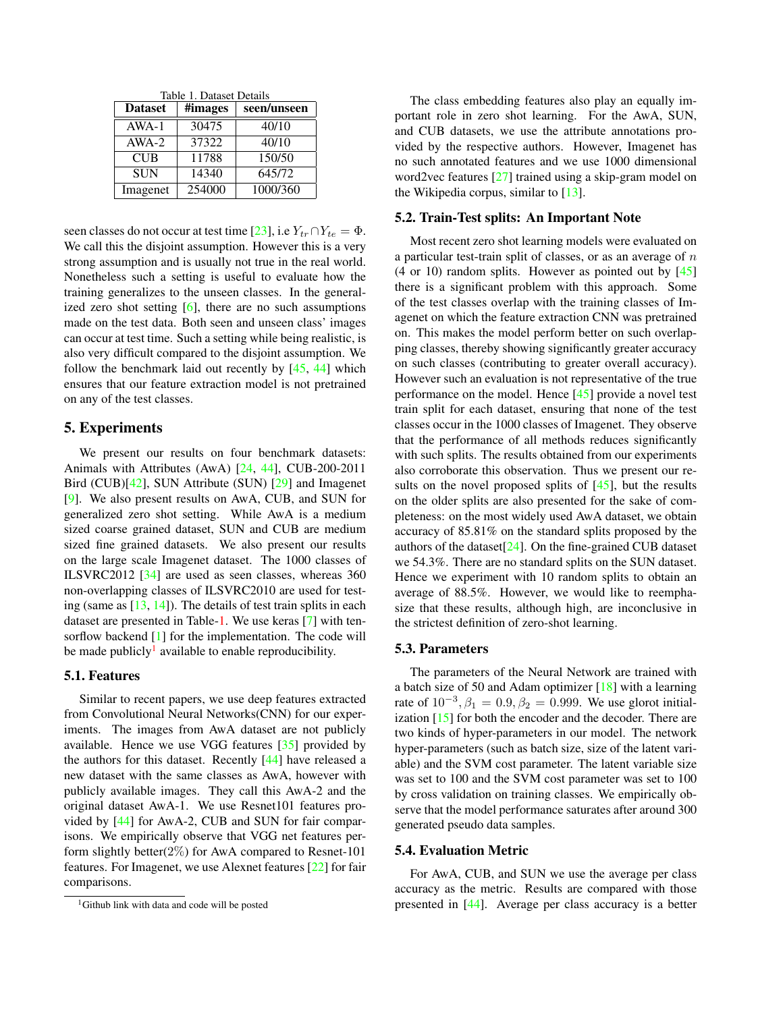<span id="page-4-2"></span><span id="page-4-0"></span>

| Table 1. Dataset Details |         |             |  |  |  |
|--------------------------|---------|-------------|--|--|--|
| <b>Dataset</b>           | #images | seen/unseen |  |  |  |
| $AWA-1$                  | 30475   | 40/10       |  |  |  |
| $AWA-2$                  | 37322   | 40/10       |  |  |  |
| <b>CUB</b>               | 11788   | 150/50      |  |  |  |
| <b>SUN</b>               | 14340   | 645/72      |  |  |  |
| Imagenet                 | 254000  | 1000/360    |  |  |  |

seen classes do not occur at test time [\[23\]](#page-7-15), i.e  $Y_{tr} \cap Y_{te} = \Phi$ . We call this the disjoint assumption. However this is a very strong assumption and is usually not true in the real world. Nonetheless such a setting is useful to evaluate how the training generalizes to the unseen classes. In the generalized zero shot setting  $[6]$ , there are no such assumptions made on the test data. Both seen and unseen class' images can occur at test time. Such a setting while being realistic, is also very difficult compared to the disjoint assumption. We follow the benchmark laid out recently by [\[45,](#page-8-2) [44\]](#page-8-8) which ensures that our feature extraction model is not pretrained on any of the test classes.

## 5. Experiments

We present our results on four benchmark datasets: Animals with Attributes (AwA) [\[24,](#page-7-3) [44\]](#page-8-8), CUB-200-2011 Bird (CUB)[\[42\]](#page-8-9), SUN Attribute (SUN) [\[29\]](#page-7-22) and Imagenet [\[9\]](#page-7-0). We also present results on AwA, CUB, and SUN for generalized zero shot setting. While AwA is a medium sized coarse grained dataset, SUN and CUB are medium sized fine grained datasets. We also present our results on the large scale Imagenet dataset. The 1000 classes of ILSVRC2012 [\[34\]](#page-8-10) are used as seen classes, whereas 360 non-overlapping classes of ILSVRC2010 are used for testing (same as  $[13, 14]$  $[13, 14]$  $[13, 14]$ ). The details of test train splits in each dataset are presented in Table[-1.](#page-4-0) We use keras [\[7\]](#page-7-25) with tensorflow backend [\[1\]](#page-6-0) for the implementation. The code will be made publicly<sup>[1](#page-4-1)</sup> available to enable reproducibility.

## 5.1. Features

Similar to recent papers, we use deep features extracted from Convolutional Neural Networks(CNN) for our experiments. The images from AwA dataset are not publicly available. Hence we use VGG features [\[35\]](#page-8-11) provided by the authors for this dataset. Recently [\[44\]](#page-8-8) have released a new dataset with the same classes as AwA, however with publicly available images. They call this AwA-2 and the original dataset AwA-1. We use Resnet101 features provided by [\[44\]](#page-8-8) for AwA-2, CUB and SUN for fair comparisons. We empirically observe that VGG net features perform slightly better $(2\%)$  for AwA compared to Resnet-101 features. For Imagenet, we use Alexnet features [\[22\]](#page-7-26) for fair comparisons.

The class embedding features also play an equally important role in zero shot learning. For the AwA, SUN, and CUB datasets, we use the attribute annotations provided by the respective authors. However, Imagenet has no such annotated features and we use 1000 dimensional word2vec features [\[27\]](#page-7-19) trained using a skip-gram model on the Wikipedia corpus, similar to  $[13]$ .

#### 5.2. Train-Test splits: An Important Note

Most recent zero shot learning models were evaluated on a particular test-train split of classes, or as an average of  $n$  $(4 \text{ or } 10)$  random splits. However as pointed out by  $[45]$ there is a significant problem with this approach. Some of the test classes overlap with the training classes of Imagenet on which the feature extraction CNN was pretrained on. This makes the model perform better on such overlapping classes, thereby showing significantly greater accuracy on such classes (contributing to greater overall accuracy). However such an evaluation is not representative of the true performance on the model. Hence [\[45\]](#page-8-2) provide a novel test train split for each dataset, ensuring that none of the test classes occur in the 1000 classes of Imagenet. They observe that the performance of all methods reduces significantly with such splits. The results obtained from our experiments also corroborate this observation. Thus we present our results on the novel proposed splits of  $[45]$ , but the results on the older splits are also presented for the sake of completeness: on the most widely used AwA dataset, we obtain accuracy of 85.81% on the standard splits proposed by the authors of the dataset[\[24\]](#page-7-3). On the fine-grained CUB dataset we 54.3%. There are no standard splits on the SUN dataset. Hence we experiment with 10 random splits to obtain an average of 88.5%. However, we would like to reemphasize that these results, although high, are inconclusive in the strictest definition of zero-shot learning.

#### 5.3. Parameters

The parameters of the Neural Network are trained with a batch size of 50 and Adam optimizer [\[18\]](#page-7-27) with a learning rate of  $10^{-3}$ ,  $\beta_1 = 0.9$ ,  $\beta_2 = 0.999$ . We use glorot initialization [\[15\]](#page-7-28) for both the encoder and the decoder. There are two kinds of hyper-parameters in our model. The network hyper-parameters (such as batch size, size of the latent variable) and the SVM cost parameter. The latent variable size was set to 100 and the SVM cost parameter was set to 100 by cross validation on training classes. We empirically observe that the model performance saturates after around 300 generated pseudo data samples.

## 5.4. Evaluation Metric

For AwA, CUB, and SUN we use the average per class accuracy as the metric. Results are compared with those presented in [\[44\]](#page-8-8). Average per class accuracy is a better

<span id="page-4-1"></span><sup>&</sup>lt;sup>1</sup>Github link with data and code will be posted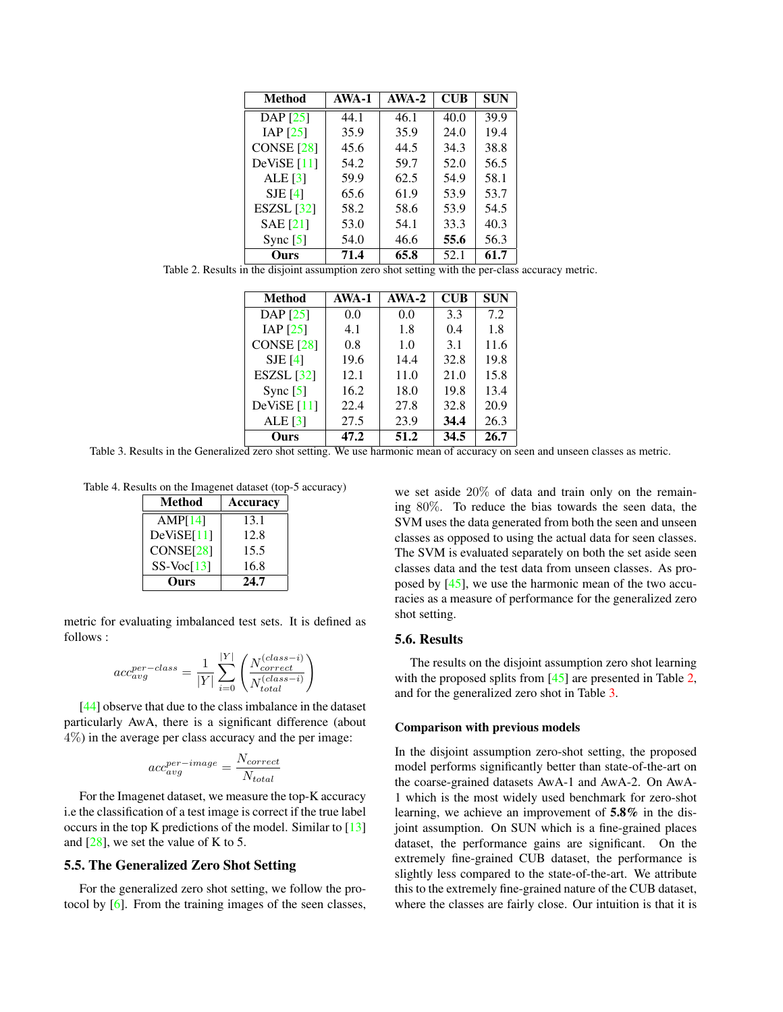<span id="page-5-2"></span>

| <b>Method</b>     | AWA-1 | $AWA-2$ | <b>CUB</b> | SUN  |
|-------------------|-------|---------|------------|------|
| DAP [25]          | 44.1  | 46.1    | 40.0       | 39.9 |
| IAP $[25]$        | 35.9  | 35.9    | 24.0       | 19.4 |
| <b>CONSE</b> [28] | 45.6  | 44.5    | 34.3       | 38.8 |
| DeViSE $[11]$     | 54.2  | 59.7    | 52.0       | 56.5 |
| ALE $[3]$         | 59.9  | 62.5    | 54.9       | 58.1 |
| $SJE$ [4]         | 65.6  | 61.9    | 53.9       | 53.7 |
| ESZSL [32]        | 58.2  | 58.6    | 53.9       | 54.5 |
| <b>SAE</b> [21]   | 53.0  | 54.1    | 33.3       | 40.3 |
| Sync $[5]$        | 54.0  | 46.6    | 55.6       | 56.3 |
| Ours              | 71.4  | 65.8    | 52.1       | 61.7 |

<span id="page-5-0"></span>Table 2. Results in the disjoint assumption zero shot setting with the per-class accuracy metric.

| <b>Method</b>     | AWA-1 | $AWA-2$ | $\mathbf{C} \mathbf{U} \mathbf{B}$ | <b>SUN</b> |
|-------------------|-------|---------|------------------------------------|------------|
| DAP [25]          | 0.0   | 0.0     | 3.3                                | 7.2        |
| IAP $[25]$        | 4.1   | 1.8     | 0.4                                | 1.8        |
| <b>CONSE</b> [28] | 0.8   | 1.0     | 3.1                                | 11.6       |
| $SJE$ [4]         | 19.6  | 14.4    | 32.8                               | 19.8       |
| ESZSL $[32]$      | 12.1  | 11.0    | 21.0                               | 15.8       |
| Sync $[5]$        | 16.2  | 18.0    | 19.8                               | 13.4       |
| DeViSE $[11]$     | 22.4  | 27.8    | 32.8                               | 20.9       |
| ALE $[3]$         | 27.5  | 23.9    | 34.4                               | 26.3       |
| Ours              | 47.2  | 51.2    | 34.5                               | 26.7       |

<span id="page-5-1"></span>Table 3. Results in the Generalized zero shot setting. We use harmonic mean of accuracy on seen and unseen classes as metric.

Table 4. Results on the Imagenet dataset (top-5 accuracy)

| <b>Method</b> | <b>Accuracy</b> |
|---------------|-----------------|
| AMP[14]       | 13.1            |
| DeViSE[11]    | 12.8            |
| CONF[28]      | 15.5            |
| $SS-Voc[13]$  | 16.8            |
| urs           | 24.7            |

metric for evaluating imbalanced test sets. It is defined as follows :

$$
acc_{avg}^{per-class} = \frac{1}{|Y|} \sum_{i=0}^{|Y|} \left( \frac{N_{correct}^{(class-i)}}{N_{total}^{(class-i)}} \right)
$$

[\[44\]](#page-8-8) observe that due to the class imbalance in the dataset particularly AwA, there is a significant difference (about 4%) in the average per class accuracy and the per image:

$$
acc_{avg}^{per-image} = \frac{N_{correct}}{N_{total}}
$$

For the Imagenet dataset, we measure the top-K accuracy i.e the classification of a test image is correct if the true label occurs in the top K predictions of the model. Similar to [\[13\]](#page-7-23) and  $[28]$ , we set the value of K to 5.

## 5.5. The Generalized Zero Shot Setting

For the generalized zero shot setting, we follow the protocol by [\[6\]](#page-7-16). From the training images of the seen classes, we set aside 20% of data and train only on the remaining 80%. To reduce the bias towards the seen data, the SVM uses the data generated from both the seen and unseen classes as opposed to using the actual data for seen classes. The SVM is evaluated separately on both the set aside seen classes data and the test data from unseen classes. As proposed by [\[45\]](#page-8-2), we use the harmonic mean of the two accuracies as a measure of performance for the generalized zero shot setting.

#### 5.6. Results

The results on the disjoint assumption zero shot learning with the proposed splits from [\[45\]](#page-8-2) are presented in Table [2,](#page-5-0) and for the generalized zero shot in Table [3.](#page-5-1)

#### Comparison with previous models

In the disjoint assumption zero-shot setting, the proposed model performs significantly better than state-of-the-art on the coarse-grained datasets AwA-1 and AwA-2. On AwA-1 which is the most widely used benchmark for zero-shot learning, we achieve an improvement of 5.8% in the disjoint assumption. On SUN which is a fine-grained places dataset, the performance gains are significant. On the extremely fine-grained CUB dataset, the performance is slightly less compared to the state-of-the-art. We attribute this to the extremely fine-grained nature of the CUB dataset, where the classes are fairly close. Our intuition is that it is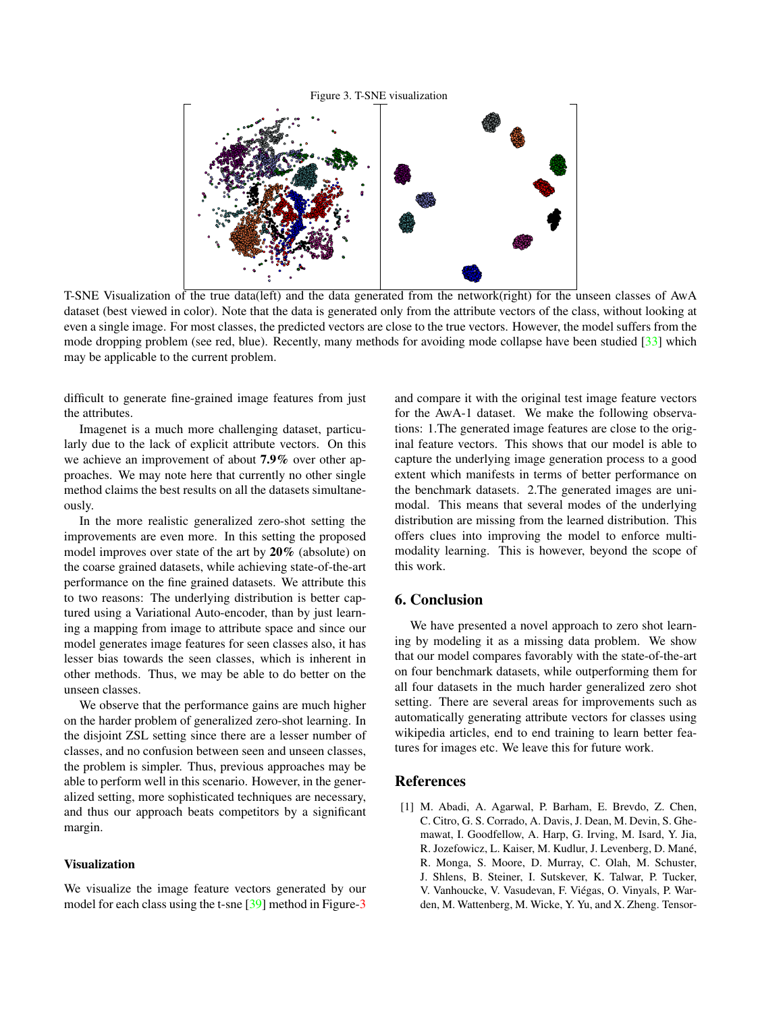#### <span id="page-6-1"></span>Figure 3. T-SNE visualization

<span id="page-6-2"></span>

T-SNE Visualization of the true data(left) and the data generated from the network(right) for the unseen classes of AwA dataset (best viewed in color). Note that the data is generated only from the attribute vectors of the class, without looking at even a single image. For most classes, the predicted vectors are close to the true vectors. However, the model suffers from the mode dropping problem (see red, blue). Recently, many methods for avoiding mode collapse have been studied [\[33\]](#page-7-31) which may be applicable to the current problem.

difficult to generate fine-grained image features from just the attributes.

Imagenet is a much more challenging dataset, particularly due to the lack of explicit attribute vectors. On this we achieve an improvement of about 7.9% over other approaches. We may note here that currently no other single method claims the best results on all the datasets simultaneously.

In the more realistic generalized zero-shot setting the improvements are even more. In this setting the proposed model improves over state of the art by 20% (absolute) on the coarse grained datasets, while achieving state-of-the-art performance on the fine grained datasets. We attribute this to two reasons: The underlying distribution is better captured using a Variational Auto-encoder, than by just learning a mapping from image to attribute space and since our model generates image features for seen classes also, it has lesser bias towards the seen classes, which is inherent in other methods. Thus, we may be able to do better on the unseen classes.

We observe that the performance gains are much higher on the harder problem of generalized zero-shot learning. In the disjoint ZSL setting since there are a lesser number of classes, and no confusion between seen and unseen classes, the problem is simpler. Thus, previous approaches may be able to perform well in this scenario. However, in the generalized setting, more sophisticated techniques are necessary, and thus our approach beats competitors by a significant margin.

## Visualization

We visualize the image feature vectors generated by our model for each class using the t-sne [\[39\]](#page-8-12) method in Figure[-3](#page-6-1)

and compare it with the original test image feature vectors for the AwA-1 dataset. We make the following observations: 1.The generated image features are close to the original feature vectors. This shows that our model is able to capture the underlying image generation process to a good extent which manifests in terms of better performance on the benchmark datasets. 2.The generated images are unimodal. This means that several modes of the underlying distribution are missing from the learned distribution. This offers clues into improving the model to enforce multimodality learning. This is however, beyond the scope of this work.

## 6. Conclusion

We have presented a novel approach to zero shot learning by modeling it as a missing data problem. We show that our model compares favorably with the state-of-the-art on four benchmark datasets, while outperforming them for all four datasets in the much harder generalized zero shot setting. There are several areas for improvements such as automatically generating attribute vectors for classes using wikipedia articles, end to end training to learn better features for images etc. We leave this for future work.

#### References

<span id="page-6-0"></span>[1] M. Abadi, A. Agarwal, P. Barham, E. Brevdo, Z. Chen, C. Citro, G. S. Corrado, A. Davis, J. Dean, M. Devin, S. Ghemawat, I. Goodfellow, A. Harp, G. Irving, M. Isard, Y. Jia, R. Jozefowicz, L. Kaiser, M. Kudlur, J. Levenberg, D. Mane,´ R. Monga, S. Moore, D. Murray, C. Olah, M. Schuster, J. Shlens, B. Steiner, I. Sutskever, K. Talwar, P. Tucker, V. Vanhoucke, V. Vasudevan, F. Viegas, O. Vinyals, P. War- ´ den, M. Wattenberg, M. Wicke, Y. Yu, and X. Zheng. Tensor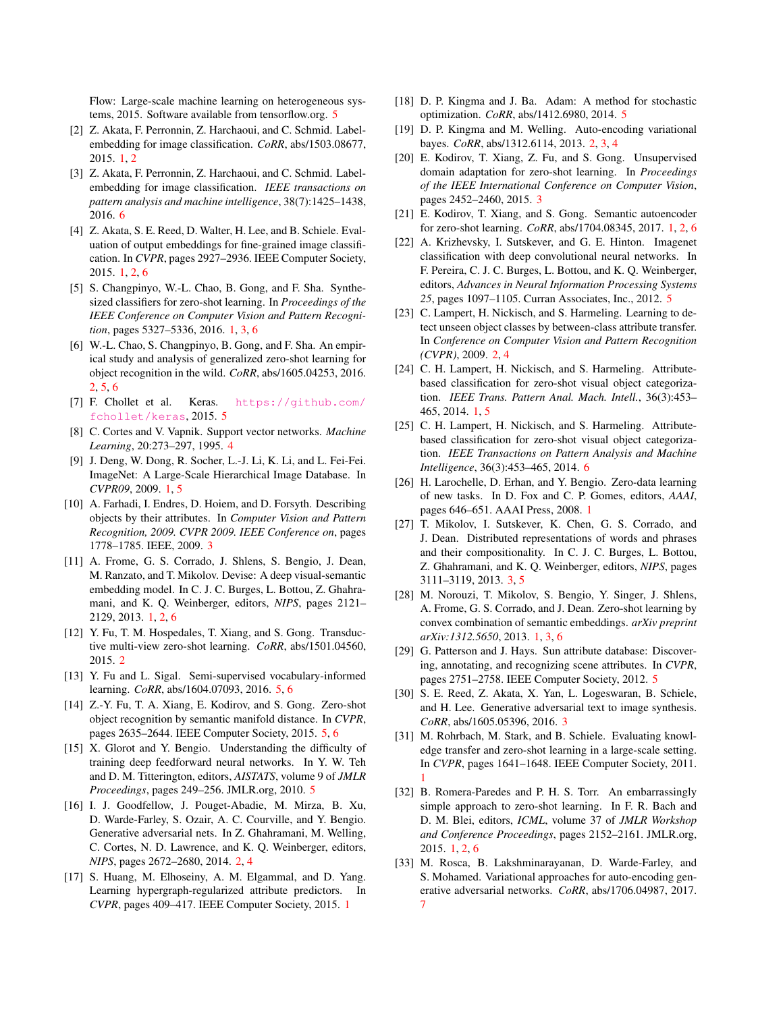Flow: Large-scale machine learning on heterogeneous systems, 2015. Software available from tensorflow.org. [5](#page-4-2)

- <span id="page-7-7"></span>[2] Z. Akata, F. Perronnin, Z. Harchaoui, and C. Schmid. Labelembedding for image classification. *CoRR*, abs/1503.08677, 2015. [1,](#page-0-0) [2](#page-1-0)
- <span id="page-7-30"></span>[3] Z. Akata, F. Perronnin, Z. Harchaoui, and C. Schmid. Labelembedding for image classification. *IEEE transactions on pattern analysis and machine intelligence*, 38(7):1425–1438, 2016. [6](#page-5-2)
- <span id="page-7-8"></span>[4] Z. Akata, S. E. Reed, D. Walter, H. Lee, and B. Schiele. Evaluation of output embeddings for fine-grained image classification. In *CVPR*, pages 2927–2936. IEEE Computer Society, 2015. [1,](#page-0-0) [2,](#page-1-0) [6](#page-5-2)
- <span id="page-7-10"></span>[5] S. Changpinyo, W.-L. Chao, B. Gong, and F. Sha. Synthesized classifiers for zero-shot learning. In *Proceedings of the IEEE Conference on Computer Vision and Pattern Recognition*, pages 5327–5336, 2016. [1,](#page-0-0) [3,](#page-2-1) [6](#page-5-2)
- <span id="page-7-16"></span>[6] W.-L. Chao, S. Changpinyo, B. Gong, and F. Sha. An empirical study and analysis of generalized zero-shot learning for object recognition in the wild. *CoRR*, abs/1605.04253, 2016. [2,](#page-1-0) [5,](#page-4-2) [6](#page-5-2)
- <span id="page-7-25"></span>[7] F. Chollet et al. Keras. [https://github.com/](https://github.com/fchollet/keras) [fchollet/keras](https://github.com/fchollet/keras), 2015. [5](#page-4-2)
- <span id="page-7-21"></span>[8] C. Cortes and V. Vapnik. Support vector networks. *Machine Learning*, 20:273–297, 1995. [4](#page-3-0)
- <span id="page-7-0"></span>[9] J. Deng, W. Dong, R. Socher, L.-J. Li, K. Li, and L. Fei-Fei. ImageNet: A Large-Scale Hierarchical Image Database. In *CVPR09*, 2009. [1,](#page-0-0) [5](#page-4-2)
- <span id="page-7-18"></span>[10] A. Farhadi, I. Endres, D. Hoiem, and D. Forsyth. Describing objects by their attributes. In *Computer Vision and Pattern Recognition, 2009. CVPR 2009. IEEE Conference on*, pages 1778–1785. IEEE, 2009. [3](#page-2-1)
- <span id="page-7-6"></span>[11] A. Frome, G. S. Corrado, J. Shlens, S. Bengio, J. Dean, M. Ranzato, and T. Mikolov. Devise: A deep visual-semantic embedding model. In C. J. C. Burges, L. Bottou, Z. Ghahramani, and K. Q. Weinberger, editors, *NIPS*, pages 2121– 2129, 2013. [1,](#page-0-0) [2,](#page-1-0) [6](#page-5-2)
- <span id="page-7-12"></span>[12] Y. Fu, T. M. Hospedales, T. Xiang, and S. Gong. Transductive multi-view zero-shot learning. *CoRR*, abs/1501.04560, 2015. [2](#page-1-0)
- <span id="page-7-23"></span>[13] Y. Fu and L. Sigal. Semi-supervised vocabulary-informed learning. *CoRR*, abs/1604.07093, 2016. [5,](#page-4-2) [6](#page-5-2)
- <span id="page-7-24"></span>[14] Z.-Y. Fu, T. A. Xiang, E. Kodirov, and S. Gong. Zero-shot object recognition by semantic manifold distance. In *CVPR*, pages 2635–2644. IEEE Computer Society, 2015. [5,](#page-4-2) [6](#page-5-2)
- <span id="page-7-28"></span>[15] X. Glorot and Y. Bengio. Understanding the difficulty of training deep feedforward neural networks. In Y. W. Teh and D. M. Titterington, editors, *AISTATS*, volume 9 of *JMLR Proceedings*, pages 249–256. JMLR.org, 2010. [5](#page-4-2)
- <span id="page-7-13"></span>[16] I. J. Goodfellow, J. Pouget-Abadie, M. Mirza, B. Xu, D. Warde-Farley, S. Ozair, A. C. Courville, and Y. Bengio. Generative adversarial nets. In Z. Ghahramani, M. Welling, C. Cortes, N. D. Lawrence, and K. Q. Weinberger, editors, *NIPS*, pages 2672–2680, 2014. [2,](#page-1-0) [4](#page-3-0)
- <span id="page-7-1"></span>[17] S. Huang, M. Elhoseiny, A. M. Elgammal, and D. Yang. Learning hypergraph-regularized attribute predictors. In *CVPR*, pages 409–417. IEEE Computer Society, 2015. [1](#page-0-0)
- <span id="page-7-27"></span>[18] D. P. Kingma and J. Ba. Adam: A method for stochastic optimization. *CoRR*, abs/1412.6980, 2014. [5](#page-4-2)
- <span id="page-7-14"></span>[19] D. P. Kingma and M. Welling. Auto-encoding variational bayes. *CoRR*, abs/1312.6114, 2013. [2,](#page-1-0) [3,](#page-2-1) [4](#page-3-0)
- <span id="page-7-17"></span>[20] E. Kodirov, T. Xiang, Z. Fu, and S. Gong. Unsupervised domain adaptation for zero-shot learning. In *Proceedings of the IEEE International Conference on Computer Vision*, pages 2452–2460, 2015. [3](#page-2-1)
- <span id="page-7-11"></span>[21] E. Kodirov, T. Xiang, and S. Gong. Semantic autoencoder for zero-shot learning. *CoRR*, abs/1704.08345, 2017. [1,](#page-0-0) [2,](#page-1-0) [6](#page-5-2)
- <span id="page-7-26"></span>[22] A. Krizhevsky, I. Sutskever, and G. E. Hinton. Imagenet classification with deep convolutional neural networks. In F. Pereira, C. J. C. Burges, L. Bottou, and K. Q. Weinberger, editors, *Advances in Neural Information Processing Systems 25*, pages 1097–1105. Curran Associates, Inc., 2012. [5](#page-4-2)
- <span id="page-7-15"></span>[23] C. Lampert, H. Nickisch, and S. Harmeling. Learning to detect unseen object classes by between-class attribute transfer. In *Conference on Computer Vision and Pattern Recognition (CVPR)*, 2009. [2,](#page-1-0) [4](#page-3-0)
- <span id="page-7-3"></span>[24] C. H. Lampert, H. Nickisch, and S. Harmeling. Attributebased classification for zero-shot visual object categorization. *IEEE Trans. Pattern Anal. Mach. Intell.*, 36(3):453– 465, 2014. [1,](#page-0-0) [5](#page-4-2)
- <span id="page-7-29"></span>[25] C. H. Lampert, H. Nickisch, and S. Harmeling. Attributebased classification for zero-shot visual object categorization. *IEEE Transactions on Pattern Analysis and Machine Intelligence*, 36(3):453–465, 2014. [6](#page-5-2)
- <span id="page-7-2"></span>[26] H. Larochelle, D. Erhan, and Y. Bengio. Zero-data learning of new tasks. In D. Fox and C. P. Gomes, editors, *AAAI*, pages 646–651. AAAI Press, 2008. [1](#page-0-0)
- <span id="page-7-19"></span>[27] T. Mikolov, I. Sutskever, K. Chen, G. S. Corrado, and J. Dean. Distributed representations of words and phrases and their compositionality. In C. J. C. Burges, L. Bottou, Z. Ghahramani, and K. Q. Weinberger, editors, *NIPS*, pages 3111–3119, 2013. [3,](#page-2-1) [5](#page-4-2)
- <span id="page-7-5"></span>[28] M. Norouzi, T. Mikolov, S. Bengio, Y. Singer, J. Shlens, A. Frome, G. S. Corrado, and J. Dean. Zero-shot learning by convex combination of semantic embeddings. *arXiv preprint arXiv:1312.5650*, 2013. [1,](#page-0-0) [3,](#page-2-1) [6](#page-5-2)
- <span id="page-7-22"></span>[29] G. Patterson and J. Hays. Sun attribute database: Discovering, annotating, and recognizing scene attributes. In *CVPR*, pages 2751–2758. IEEE Computer Society, 2012. [5](#page-4-2)
- <span id="page-7-20"></span>[30] S. E. Reed, Z. Akata, X. Yan, L. Logeswaran, B. Schiele, and H. Lee. Generative adversarial text to image synthesis. *CoRR*, abs/1605.05396, 2016. [3](#page-2-1)
- <span id="page-7-4"></span>[31] M. Rohrbach, M. Stark, and B. Schiele. Evaluating knowledge transfer and zero-shot learning in a large-scale setting. In *CVPR*, pages 1641–1648. IEEE Computer Society, 2011. [1](#page-0-0)
- <span id="page-7-9"></span>[32] B. Romera-Paredes and P. H. S. Torr. An embarrassingly simple approach to zero-shot learning. In F. R. Bach and D. M. Blei, editors, *ICML*, volume 37 of *JMLR Workshop and Conference Proceedings*, pages 2152–2161. JMLR.org, 2015. [1,](#page-0-0) [2,](#page-1-0) [6](#page-5-2)
- <span id="page-7-31"></span>[33] M. Rosca, B. Lakshminarayanan, D. Warde-Farley, and S. Mohamed. Variational approaches for auto-encoding generative adversarial networks. *CoRR*, abs/1706.04987, 2017. [7](#page-6-2)